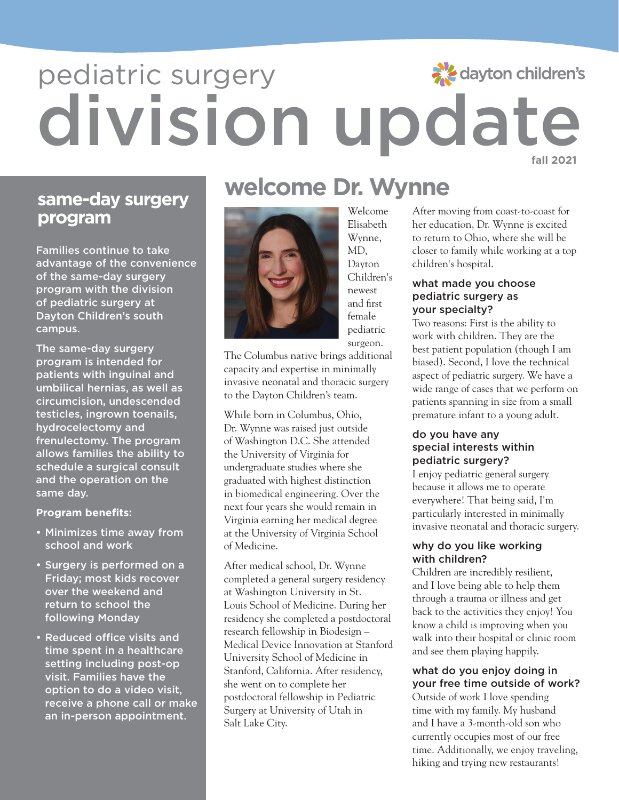### dayton children's

## division update pediatric surgery **fall 2021**

## **program**

Families continue to take advantage of the convenience of the same-day surgery program with the division of pediatric surgery at Dayton Children's south campus.

The same-day surgery program is intended for patients with inguinal and umbilical hernias, as well as circumcision, undescended testicles, ingrown toenails, hydrocelectomy and frenulectomy. The program allows families the ability to schedule a surgical consult and the operation on the same day.

### **Program benefits:**

- Minimizes time away from school and work
- Surgery is performed on a Friday; most kids recover over the weekend and return to school the following Monday
- Reduced office visits and time spent in a healthcare setting including post-op visit. Families have the option to do a video visit, receive a phone call or make an in-person appointment.

# **welcome Dr. Wynne**<br> **welcome Dr. Wynne**



Elisabeth Wynne, MD, Dayton Children's newest and first female pediatric surgeon.

The Columbus native brings additional capacity and expertise in minimally invasive neonatal and thoracic surgery to the Dayton Children's team.

While born in Columbus, Ohio, Dr. Wynne was raised just outside of Washington D.C. She attended the University of Virginia for undergraduate studies where she graduated with highest distinction in biomedical engineering. Over the next four years she would remain in Virginia earning her medical degree at the University of Virginia School of Medicine.

After medical school, Dr. Wynne completed a general surgery residency at Washington University in St. Louis School of Medicine. During her residency she completed a postdoctoral research fellowship in Biodesign – Medical Device Innovation at Stanford University School of Medicine in Stanford, California. After residency, she went on to complete her postdoctoral fellowship in Pediatric Surgery at University of Utah in Salt Lake City.

After moving from coast-to-coast for her education, Dr. Wynne is excited to return to Ohio, where she will be closer to family while working at a top children's hospital.

### what made you choose pediatric surgery as your specialty?

Two reasons: First is the ability to work with children. They are the best patient population (though I am biased). Second, I love the technical aspect of pediatric surgery. We have a wide range of cases that we perform on patients spanning in size from a small premature infant to a young adult.

### do you have any special interests within pediatric surgery?

I enjoy pediatric general surgery because it allows me to operate everywhere! That being said, I'm particularly interested in minimally invasive neonatal and thoracic surgery.

### why do you like working with children?

Children are incredibly resilient, and I love being able to help them through a trauma or illness and get back to the activities they enjoy! You know a child is improving when you walk into their hospital or clinic room and see them playing happily.

### what do you enjoy doing in your free time outside of work?

Outside of work I love spending time with my family. My husband and I have a 3-month-old son who currently occupies most of our free time. Additionally, we enjoy traveling, hiking and trying new restaurants!